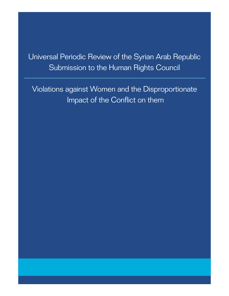Universal Periodic Review of the Syrian Arab Republic Submission to the Human Rights Council

Violations against Women and the Disproportionate Impact of the Conflict on them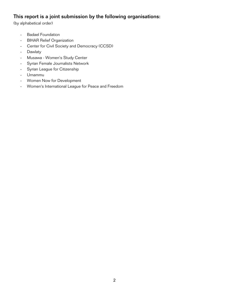# This report is a joint submission by the following organisations:

(by alphabetical order)

- Badael Foundation
- BIHAR Relief Organization
- Center for Civil Society and Democracy (CCSD)
- Dawlaty
- Musawa Women's Study Center
- Syrian Female Journalists Network
- Syrian League for Citizenship
- Urnammu
- Women Now for Development
- Women's International League for Peace and Freedom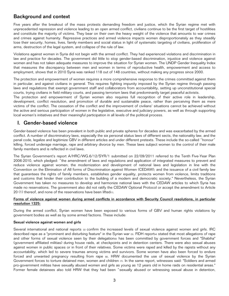# Background and context

Five years after the breakout of the mass protests demanding freedom and justice, which the Syrian regime met with unprecedented repression and violence leading to an open armed conflict, civilians continue to be the first target of hostilities and constitute the majority of victims. They bear on their own the heavy weight of the violence that amounts to war crimes and crimes against humanity. Repressive practices and armed violence impacts women disproportionately as they steadily lose their security, homes, lives, family members and social status in light of systematic targeting of civilians, proliferation of arms, destruction of the legal system, and collapse of the rule of law.

Violations against women in Syria did not begin with the armed conflict. They had experienced violations and discrimination in law and practice for decades. The government did little to stop gender-based discrimination, injustice and violence against women and has not taken adequate measures to improve the situation for Syrian women. The UNDP Gender Inequality Index that measures the discrepancy between men and women in terms of reproductive health, empowerment and access to employment, shows that in 2010 Syria was ranked 118 out of 148 countries, without making any progress since 2000.

The protection and empowerment of women requires a more comprehensive response to the crimes committed against them in particular, and against civilians in general. This requires fighting impunity imposed by the Syrian regime through passing laws and regulations that exempt government staff and collaborators from accountability, setting up unconstitutional special courts, trying civilians in field military courts, and passing terrorism laws that predominantly target peaceful activists.

The protection and empowerment of Syrian women also requires full recognition of their active role in leadership, development, conflict resolution, and promotion of durable and sustainable peace, rather than perceiving them as mere victims of the conflict. The cessation of the conflict and the improvement of civilians' situations cannot be achieved without the active and serious participation of women in the legislative, executive and judiciary powers, as well as through supporting local women's initiatives and their meaningful participation in all levels of the political process.

# I. Gender-based violence

Gender-based violence has been prevalent in both public and private spheres for decades and was exacerbated by the armed conflict. A number of discriminatory laws, especially the six personal status laws of different sects, the nationality law, and the penal code, legalize and legitimize GBV in different articles and under different pretexts. These include the so-called "honour" killing, forced underage marriage, rape and arbitrary divorce by men. These laws subject women to the control of their male family members and is reflected in civil laws.

The Syrian Government's report A/HRC/WG.6/12/SYR/1 submitted on 22/09/2011 referred to the Tenth Five-Year Plan 2006-2010, which pledged: "the amendment of laws and regulations and application of integrated measures to prevent and reduce violence against women; the modernization and development of national laws and legislation in line with the Convention on the Elimination of All forms of Discrimination against Women (CEDAW); and the issuance of a civil family law that guarantees the rights of family members, establishes gender equality, protects women from violence, limits traditions and customs that hinder their contribution to the building of a modern and democratic society." Nevertheless, the Syrian Government has taken no measures to develop and harmonize national laws with the CEDAW articles to which Syria has made no reservations. The government also did not ratify the CEDAW Optional Protocol or accept the amendment to Article 20 (1) thereof, and none of the reservations have been lifted $(1)$ .

## Forms of violence against women during armed conflicts in accordance with Security Council resolutions, in particular resolution 1325:

During the armed conflict, Syrian women have been exposed to various forms of GBV and human rights violations by government bodies as well as by some armed factions. These include:

## Sexual violence against women and girls

Several international and national reports [2] confirm the increased levels of sexual violence against women and girls. IRC described rape as a "prominent and disturbing feature" in the Syrian war [3]. FIDH report[4] stated that most allegations of rape and other forms of sexual violence seen by their delegationisi has been committed by government forces and "Shabiha" (government affiliated militias) during house raids, at checkpoints and in detention centers. There were also sexual abuses against women in public spaces or in front of their relatives. Some victims were raped and killed by the rapists without any accountability, which led to severe traumas among victims and survivors. Some women have also been forced to endure forced and unwanted pregnancy resulting from rape is. HRW documented the use of sexual violence by the Syrian Government forces to torture detained men, women and children [7]. In the same report, witnesses said: "Soldiers and armed pro-government militias have sexually abused women and girls as young as 12 years old in home raids on residential areas." Former female detainees also told HRW that they had been "sexually abused or witnessing sexual abuse in detention,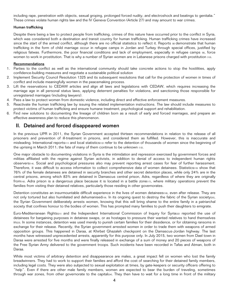including rape, penetration with objects, sexual groping, prolonged forced nudity, and electroshock and beatings to genitalia." These crimes violate human rights law and the IV Geneva Convention (Article 27) and may amount to war crimes.

## Human trafficking

Despite there being a law to protect people from trafficking, crimes of this nature have occurred prior to the conflict in Syria, which was considered both a destination and transit country for human trafficking. Human trafficking crimes have increased since the start of the armed conflict, although there are no official statistics to reflect it. Reports  $\omega$  demonstrate that human trafficking in the form of child marriage occur in refugee camps in Jordan and Turkey through special offices, justified by religious fatwas. Furthermore, the poor financial conditions and lack of employment, especially in refugee camps  $\omega$ , force women to work in prostitution. That is why a number of Syrian women are in Lebanese prisons charged with prostitution [10].

## Recommendations

- 1. Parties to the conflict as well as the international community should take concrete actions to stop the hostilities, apply confidence-building measures and negotiate a sustainable political solution
- 2. Implement Security Council Resolution 1325 and its subsequent resolutions that call for the protection of women in times of conflict and include meaningfully women in the peacemaking process.
- 3. Lift the reservations to CEDAW articles and align all laws and legislations with CEDAW, which requires increasing the marriage age in all personal status laws, applying deterrent penalties for violations, and sanctioning those responsible for unregistered marriages (including lawyers).
- 4. Pass a law to protect women from domestic violence, including direct and effective enforcement measures.
- 5. Reactivate the human trafficking law by issuing the related implementation instructions. The law should include measures to protect victims of human trafficking and ensure humane treatment, psychological support and rehabilitation.
- 6. Find new solutions to documenting the lineage of children born as a result of early and forced marriages, and prepare an effective awareness plan to reduce this phenomenon.

# II. Detained and forced disappeared women

In the previous UPR in 2011, the Syrian Government accepted thirteen recommendations in relation to the release of all prisoners and prevention of ill-treatment in prisons, and considered them as fulfilled. However, this is inaccurate and misleading. International reports<sup>[11]</sup> and local statistics[12] refer to the detention of thousands of women since the beginning of the uprising in March 2011; the fate of many of them continue to be unknown [13].

One major obstacle to documenting violations in Syria is the intimidation and repression exercised by government forces and militias affiliated with the regime against Syrian activists, in addition to denial of access to independent human rights observers[14]. Social and psychological pressures also may prevent reporting arrest cases for fear of further harassment. Therefore, it was difficult to access information to collect comprehensive data of women detainees. Statisticsna show that 76% of the female detainees are detained in security branches and other secret detention places, while only 24% are in the central prisons, among which 83% are detained in Damascus central prison, Adra, regardless of where they are originally from<sub>[16]</sub>. Adra prison is a dangerous place because it is located in a battle zonenzi, where military operations prevent the families from visiting their detained relatives, particularly those residing in other governorates.

Detention constitutes an insurmountable difficult experience in the lives of women detaineesnal, even after release. They are not only tortured but also humiliated and dehumanisedno. In its ongoing quest to destroy the fabric of the Syrian societyr201, the Syrian Government deliberately arrests women, knowing that this will bring shame to the entire family in a patriarchal society that confines honour to the bodies of women. This has prompted many families to push their daughters to emigrate.

Euro-Mediterranean Rights<sub>[21]</sub> and the Independent International Commission of Inquiry for Syria<sup>[22]</sup> reported the use of detainees for bargaining purposes in detainee swaps, or as hostages to pressure their wanted relatives to hand themselves intasi. In some instances, detention was used merely to punish certain families for their dissidence, or for obtaining ransoms in exchange for their release. Recently, the Syrian government arrested women in order to trade them with weapons of armed opposition groups. This happened in Daraa, at Khirbet Ghazaleh checkpoint on the Damascus-Jordan highway. The last months have witnessed unprecedented arrests, apparently for this purpose only. In July 2015, two women from Dael town in Daraa were arrested for five months and were finally released in exchange of a sum of money and 20 pieces of weapons of the Free Syrian Army delivered to the government troops. Such incidents have been recorded in Tafas and Atman, both in Daraa.

While most victims of arbitrary detention and disappearance are males, a great impact fell on women who lost the family breadwinners. They had to work to support their families and afford the cost of searching for their detained family members, including legal costs. They were also subjected to sexual exploitation at times, by gate-keepers or security officers offering to "help". Even if there are other male family members, women are expected to bear the burden of traveling, sometimes through war zones, from other governorate to the capital<sub>[24]</sub>. They then have to wait for a long time in front of the military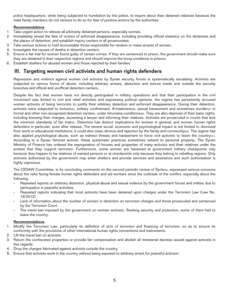police headquarters, while being subjected to humiliation by the police, to inquire about their detained relatives because the male family members do not venture to do so for fear of punitive actions by the authorities.

## Recommendations

- 1. Take urgent action to release all arbitrarily detained persons, especially women.
- 2. Immediately reveal the fate of victims of enforced disappearance, including providing official statistics on the detainees and the places of detention, and establish inquiry centers in all governorates.
- 3. Take serious actions to hold accountable those responsible for random or mass arrests of women.
- 4. Investigate the causes of deaths in detention centers.
- 5. Ensure a fair trial for women found guilty of certain crimes. If they are sentenced to prison, the government should make sure they are detained in their respective regions and should improve the living conditions in prisons.
- 6. Establish shelters for abused women and those rejected by their families.

# III. Targeting women civil activists and human rights defenders

Repression and violence against women civil activists by Syrian security forces is systematically escalating. Activists are subjected to various forms of abuse, including arbitrary arrests, abduction and torture inside and outside the security branches and official and unofficial detention centers.

Despite the fact that women have not directly participated in military operations and that their participation in the civil movement was limited to civil and relief activities and expressing political opinions, the regime has persistently accused women activists of being terrorists to justify their arbitrary detention and enforced disappearance. During their detention, activists were subjected to torture[25], solitary confinement, ill-treatment[26], sexual harassment and sometimes murder[27] in formal and other non-recognized detention centers, under inhumane conditionsizel. They are also deprived of their basic rights, including knowing their charges, accessing a lawyer and informing their relatives. Activists are prosecuted in courts that lack the minimum standards of fair trial[29]. Detention has distinct implications for women in general, and women human rights defenders in particular, even after release. The severe social, economic and psychological impact is not limited to dismissal from work or educational institutions; it could also mean divorce and rejection by the family and community[30]. The regime has also applied psychological abuse, such as indirect threats and harassment to force civil activists to leave the country[31]. According to a Syrian feminist activist, these systematic practices sometimes extend to personal property. The Syrian Ministry of Finance has ordered the expropriation of houses and properties of many activists and their relatives under the pretext that they support terrorism. Furthermore, some women are harassed at government military checkpoints only because they happen to be relatives of wanted persons or at checkpoints only because they belong to rebelling regions. Only activists authorized by the government may enter shelters and provide services and assistance and such authorization is highly capricious.

The CEDAW Committee, in its concluding comments on the second periodic review of Syria $321$ , expressed serious concerns about the risks facing female human rights defenders and aid workers since the outbreak of the conflict, especially about the following:

- Repeated reports on arbitrary detention, physical abuse and sexual violence by the government forces and militias due to participation in peaceful activities.
- Repeated reports indicating that most activists have been detained upon charges under the Terrorism Law (Law No. 19/2012).
- Lack of information about the number of women in detention on terrorism charges and those prosecuted and sentenced by the Terrorism Court.
- The travel ban imposed by the government on women activists. Seeking security and protection, some of them had to leave the country.

# **Recommendations**

- 1. Modify the Terrorism Law, particularly its definition of acts of terrorism and financing of terrorism, so as to ensure its conformity with the provisions of other international human rights conventions and instruments.
- 2. Lift the travel ban on activists.
- 3. Return the confiscated properties or provide fair compensation and abolish all ministerial decrees issued against activists in this regards.
- 4. Drop the charges fabricated against activists outside the country.
- 5. Ensure that activists work in the country without being exposed to arbitrary arrest for peaceful activism.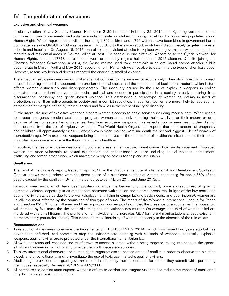# IV. The proliferation of weapons

## Explosive and chemical weapons

In clear violation of UN Security Council Resolution 2139 issued on February 22, 2014, the Syrian government forces continued to launch systematic and extensive indiscriminate air strikes, throwing barrel bombs on civilian populated areas. Human Rights Watch reported that civilians, including 1,892 children and 1,720 women, have been killed in government barrel bomb attacks since UNSCR 2139 was passed<sup>133</sup>. According to the same report, airstrikes indiscriminately targeted markets, schools and hospitals. On August 16, 2015, one of the most violent attacks took place when government warplanes bombed markets and residential areas in Douma, killing at least 112 people (in one airstrike). According to the Syrian Network for Human Rights, at least 17318 barrel bombs were dropped by regime helicopters in 2015 alone $341$ . Despite joining the Chemical Weapons Convention in 2014, the Syrian regime used toxic chemicals in several barrel bombs attacks in Idlib governorate in March, April and May 2015, according to HRW, which was not able to determine the type of chemicals used. However, rescue workers and doctors reported the distinctive smell of chlorine.

The impact of explosive weapons on civilians is not confined to the number of victims only. They also have many indirect effects, including forced displacement, the erosion of social capital and the destruction of basic infrastructure, which in turn affects women distinctively and disproportionately. The insecurity caused by the use of explosive weapons in civilian populated areas undermines women's social, political and economic participation in a society already suffering from discrimination, patriarchy and gender-based violence. This establishes a stereotype of women as victims in need of protection, rather than active agents in society and in conflict resolution. In addition, women are more likely to face stigma, persecution or marginalization by their husbands and families in the event of injury or disability.

Furthermore, the use of explosive weapons hinders women's access to basic services including medical care. When unable to access emergency medical assistance, pregnant women are at risk of losing their own lives or their unborn children because of fear or severe hemorrhage resulting from explosive weapons. This reflects how women bear further distinct complications from the use of explosive weapons. The World Health Organization reports that complications of pregnancy and childbirth kill approximately 287,000 women every year, making maternal death the second biggest killer of women of reproductive age. With explosive weapons being the main cause of the destruction of healthcare infrastructure, their use in populated areas can exacerbate the threat to women's healthissi.

In addition, the use of explosive weapons in populated areas is the most prominent cause of civilian displacement. Displaced women are more vulnerable to sexual exploitation and gender-based violence including sexual violence, harassment, trafficking and forced prostitution, which makes them rely on others for help and security[36].

#### Small arms:

The Small Arms Survey's report, issued in April 2014 by the Graduate Institute of International and Development Studies in Geneva, shows that gunshots were the direct cause of a significant number of victims, accounting for about 36% of the deaths caused by the conflict in Syria in the period between March 2011 and June 2013[37].

Individual small arms, which have been proliferating since the beginning of the conflict, pose a great threat of growing domestic violence, especially in an atmosphere saturated with tension and external pressures. In light of the low social and economic living standards due to the war (displacement, living in camps lacking basic needs, and poor income), women are usually the most affected by the acquisition of this type of arms. The report of the Women's International League for Peace and Freedom (WILPF) on small arms and their impact on women points out that the presence of a such arms in a household will increase by five times the likelihood of turning spousal violence into murder. On average, one third of women killed are murdered with a small firearm. The proliferation of individual arms increases GBV forms and manifestations already existing in a predominantly patriarchal society. This increases the vulnerability of women, especially in the absence of the rule of law.

## Recommendations

- 1. Take additional measures to ensure the implementation of UNSCR 2139 (2014), which was issued two years ago but has never been enforced, and commit to stop the indiscriminate bombing with all kinds of weapons, especially explosive weapons, against civilian areas protected under the international humanitarian law.
- 2. Allow humanitarian aid, vaccines and relief crews to access all areas without being targeted, taking into account the special situation of women in conflict; and to provide them with necessary supplies.
- 3. To allow international observers and human rights organizations to access areas of conflict in order to observe the situation closely and unconditionally, and to investigate the use of toxic gas in attacks against civilians.
- 4. Abolish legal provisions that grant government officials impunity from prosecution for crimes they commit while performing their duties, especially Decrees 14/1969 and 69/2008.
- 5. All parties to the conflict must support women's efforts to combat and mitigate violence and reduce the impact of small arms (e.g. the campaign in Atmeh camp)<sup>[38]</sup>.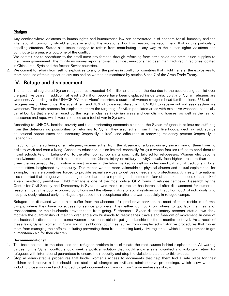## Pledges

Any conflict where violations to human rights and humanitarian law are perpetrated is of concern for all humanity and the international community should engage in ending the violations. For this reason, we recommend that in this particularly appalling situation, States also issue pledges to refrain from contributing in any way to the human rights violations and contribute to a peaceful outcome of the conflict:

- 1. We commit not to contribute to the small arms proliferation through refraining from arms sales and ammunition supplies to the Syrian government. The munitions survey report showed that most munitions had been manufactured in factories located in China, Iran, Syria and the former Soviet countries.
- 2. We commit to refrain from selling explosives to any of the parties in conflict or countries that might transfer the explosives to them because of their impact on civilians and on women as mandated by articles 6 and 7 of the Arms Trade Treaty.

# V. Refuge and displacement

The number of registered Syrian refugees has exceeded 4.6 millions99 and is on the rise due to the accelerating conflict over the past five years. In addition, at least 7.6 million people have been displaced inside Syria. 50.7% of Syrian refugees are women<sub>[40]</sub>. According to the UNHCR "Women Alone" report[41], a quarter of women refugees head families alone, 55% of the refugees are children under the age of ten, and 78% of those registered with UNHCR to receive aid and seek asylum are women[42]. The main reasons for displacement are the targeting of civilian populated areas with explosive weapons, especially barrel bombs that are often used by the regime, clashes in civilian areas and demolishing houses, as well as the fear of massacres and rape, which was also used as a tool of war in Syria $431$ .

According to UNHCR, besides poverty and the deteriorating economic situation, the Syrian refugees in exile $441$  are suffering from the deteriorating possibilities of returning to Syria. They also suffer from limited livelihoods, declining aid, scarce educational opportunities and insecurity (especially in Iraq); and difficulties in renewing residency permits (especially in Lebanon)<sub>[45]</sub>.

In addition to the suffering of all refugees, women suffer from the absence of a breadwinner, since many of them have no skills to work and earn a living. Access to education is also limited, especially for girls whose families refuse to send them to mixed schools (e.g. in Lebanon) or to the afternoon school shifts specifically tailored for refugees[46]. Women who become breadwinners because of their husband's absence (death, injury or military activity) usually face higher pressure than men, given the systematic discrimination against women in the labor market as well as widespread patriarchal traditions in local communities, heightened by insecurity. This makes women more vulnerable to physical abuses and sexual exploitation; for example, they are sometimes forced to provide sexual services to get basic needs and protection(47). Amnesty International also reported that refugee women and girls face barriers to reporting such crimes for fear of the consequences of the lack of a valid residency permits[48]. Child marriage is one of the most critical GBV forms in refugee camps[49]. Research by the Center for Civil Society and Democracy in Syria showed that this problem has increased after displacement for numerous reasons, mostly the poor economic conditions and the altered nature of social relations[50]. In addition, 60% of individuals who had previously refused early marriages expressed their acceptance after the war, especially in refugee camps.

Refugee and displaced women also suffer from the absence of reproductive services, as most of them reside in informal camps, where they have no access to service providers. They either do not know where to go, lack the means of transportation, or their husbands prevent them from going. Furthermore, Syrian discriminatory personal status laws deny mothers the guardianship of their children and allow husbands to restrict their travels and freedom of movement. In case of the husband's disappearance, some women have been able to get guardianship for three months to travel. As a result of these laws, Syrian women, in Syria and in neighboring countries, suffer from complex administrative procedures that hinder them from managing their affairs, including preventing them from obtaining family civil registries, which is a requirement to get humanitarian aid for their children.

### Recommendations**:**

- 1. The basic solution to the displaced and refugees problem is to eliminate the root causes behind displacement. All warring parties to the Syrian conflict should seek a political solution that would allow a safe, dignified and voluntary return for refugees, with international guarantees to ensure their security and stop the violations that led to this exodus.
- 2. Stop all administrative procedures that hinder women's access to documents that help them find a safe place for their children and receive aid. It should also abolish all charges on civil and administrative proceedings, which allow women, including those widowed and divorced, to get documents in Syria or from Syrian embassies abroad.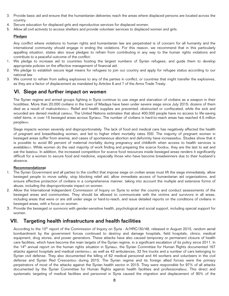- 3. Provide basic aid and ensure that the humanitarian deliveries reach the areas where displaced persons are located across the country.
- 4. Secure education for displaced girls and reproductive services for displaced women.
- 5. Allow all civil activists to access shelters and provide volunteer services to displaced women and girls.

## Pledges

Any conflict where violations to human rights and humanitarian law are perpetrated is of concern for all humanity and the international community should engage in ending the violations. For this reason, we recommend that in this particularly appalling situation, states also issue pledges to refrain from contributing in any way to the human rights violations and contribute to a peaceful outcome of the conflict:

- 1. We pledge to increase aid to countries hosting the largest numbers of Syrian refugees, and guide them to develop appropriate policies on the effective management of financial aid.
- 2. We pledge to establish secure legal means for refugees to join our country and apply for refugee status according to our national law
- 3. We commit to refrain from selling explosives to any of the parties in conflict, or countries that might transfer the explosives, as they are a factor of displacement as mandated by Articles 6 and 7 of the Arms Trade Treaty.

# VI. Siege and further impact on women

The Syrian regime and armed groups fighting in Syria continue to use siege and starvation of civilians as a weapon in their hostilities. More than 20,000 civilians in the town of Madaya have been under severe siege since July 2015; dozens of them died as a result of malnutrition(51). Relief and health supplies are prevented, obstructed or confiscated, while the sick and wounded are denied medical caretsz. The United Nations estimates that about 400,000 people have no access to life-saving relief items, in over 15 besieged areas across Syriarsa. The number of civilians in hard-to-reach areas has reached 4.5 million people<sup>[54]</sup>.

Siege impacts women severely and disproportionately. The lack of food and medical care has negatively affected the health of pregnant and breastfeeding women, and led to higher infant mortality rates [55]. The majority of pregnant women in besieged areas suffer from anemia, and cases of spontaneous abortion and deformity have increasedise. Studies show that it is possible to avoid 80 percent of maternal mortality during pregnancy and childbirth when access to health services is available<sup>[57]</sup>. While women do the vast majority of work finding and preparing the scarce food[58], they are the last to eat and eat the leastrssi. In addition, the increased competition for scarce food resources inside besieged areas renders it significantly difficult for a women to secure food and medicine, especially those who have become breadwinners due to their husband's absence.

#### Recommendations**:**

- 1. The Syrian Government and all parties to the conflict that impose siege on civilian areas must lift the siege immediately, allow besieged people to move safely, stop blocking relief aid, allow immediate access of humanitarian aid organizations, and ensure effective protection of civilians in a comprehensive manner, taking into account the multiple and extensive forms of abuse, including the disproportionate impact on women.
- 2. Allow the International Independent Commission of Inquiry on Syria to enter the country and conduct assessments of the besieged areas and communities. They should be allowed to communicate with the victims and survivors in all areas, including areas that were or are still under siege or hard-to-reach, and issue detailed reports on the conditions of civilians in besieged areas, with a focus on women.
- 3. Provide the besieged or survivors with gender-sensitive health, psychological and social support, including special support for women.

# VII. Targeting health infrastructure and health facilities

According to the 10<sup>th</sup> report of the Commission of Inquiry on Syria - A/HRC/30/48, released in August 2015, random aerial bombardment by the government forces continued to destroy and damage hospitals, field hospitals, clinics, medical equipment, drug stores, and power generators. These attacks have also caused temporary or permanent closure of health care facilities, which have become the main targets of the Syrian regime, in a significant escalation of its policy since 2011. In the 14<sup>th</sup> annual report on the human rights situation in Syriateoi, the Syrian Committee for Human Rights documented 167 attacks against hospitals and medical centers<sup>[61]</sup>, as well as 43 ambulances, 32 fire trucks and a number of cars belonging to Syrian civil defense. They also documented the killing of 62 medical personnel and 44 workers and volunteers in the civil defense and Syrian Red Crescent<sup>[62]</sup> during 2015. The Syrian regime and its foreign allied forces were the primary perpetrators of most of the attacks against the Syrian health sector in 2015. They were responsible for 97% of all attacks documented by the Syrian Committee for Human Rights against health facilities and professionals[63]. This direct and systematic targeting of medical facilities and personnel in Syria caused the migration and displacement of 90% of the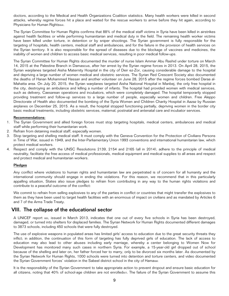doctors, according to the Medical and Health Organizations Coalition statistics. Many health workers were killed in second attacks, whereby regime forces hit a place and waited for the rescue workers to arrive before they hit again, according to Physicians for Human Rights<sub>[64]</sub>.

The Syrian Committee for Human Rights confirms that 88% of the medical staff victims in Syria have been killed in airstrikes against health facilities or while performing humanitarian and medical duty in the field. The remaining health worker victims have been killed under torture, in detention or by sniper shootings. The Syrian government is fully responsible for the targeting of hospitals, health centers, medical staff and ambulances, and for the failure in the provision of health services on the Syrian territory. It is also responsible for the spread of diseases due to the blockage of vaccines and medicines, the inability of women and children to access basic medical services, resulting in poor medical follow-ups.

The Syrian Committee for Human Rights documented the murder of nurse Islam Ammar Abu Rashid under torture on March 14, 2015 at the Palestine Branch in Damascus, after her arrest by the Syrian regime forces in 2013. On April 28, 2015, the Syrian warplanes targeted Aisha Maternity Hospital in the city of Deir ez-Zor, causing considerable damage to the hospital and depriving a large number of women medical and obstetric services. The Syrian Red Crescent Society also documented the deaths of Hanan Mohammed Hassan and another volunteer on June 28, 2015 after the regime forces bombed Daraa al-Mahatta area. On July 20, 2015, the Syrian warplanes targeted Aisha National Hospital in Manbej, the only free hospital in the city, destroying an ambulance and killing a number of infants. The hospital had provided women with medical services, such as delivery, Caesarean operations and incubators, which were completely damaged. The hospital temporarily stopped providing treatment and follow-up services to a large number of people, especially women and children. Free Aleppo Directorate of Health also documented the bombing of the Syria Women and Children Charity Hospital in Aazaz by Russian airplanes on December 25, 2015. As a result, the hospital stopped functioning partially, depriving women in the border city basic medical treatments, including obstetric services, maternal, postnatal and antenatal care and incubator services.

#### Recommendations:

- 1. The Syrian Government and allied foreign forces must stop targeting hospitals, medical centers, ambulances and medical staff while performing their humanitarian work.
- 2. Refrain from detaining medical staff, especially women.
- 3. Stop targeting and shelling medical staff. It must comply with the Geneva Convention for the Protection of Civilians Persons in Time of War, issued in 1949, and the Inter-Parliamentary Union 1993 conventions and international humanitarian law, which protect medical workers.
- 4. Respect and comply with the UNSC Resolutions 2139, 2154 and 2165 (all in 2014), adhere to the principle of medical neutrality, facilitate the free access of medical professionals, medical equipment and medical supplies to all areas and respect and protect medical and humanitarian workers.

#### **Pledges**

Any conflict where violations to human rights and humanitarian law are perpetrated is of concern for all humanity and the international community should engage in ending the violations. For this reason, we recommend that in this particularly appalling situation, States also issue pledges to refrain from contributing in any way to the human rights violations and contribute to a peaceful outcome of the conflict:

We commit to refrain from selling explosives to any of the parties in conflict or countries that might transfer the explosives to them as they have been used to target health facilities with an enormous of impact on civilians and as mandated by Articles 6 and 7 of the Arms Trade Treaty.

# VIII. The collapse of the educational sector

A UNICEF report [65], issued in March 2013, indicates that one out of every five schools in Syria has been destroyed, damaged, or turned into shelters for displaced families. The Syrian Network for Human Rights documented different damages to 3873 schools, including 450 schools that were fully destroyed.

The use of explosive weapons in populated areas has limited girls' access to education due to the great security threats they inflict; in addition, the continuation of this form of targeting has fully deprived girls of education. The lack of access to education may also lead to other abuses including early marriage, whereby a center belonging to Women Now for Development has monitored many such cases in northern Syria. For example, a 15-year-old girl dropped out of school because of the shelling and later on, her father forced her to marry, only to be divorced six months later. As documented by the Syrian Network for Human Rights, 1000 schools were turned into detention and torture centers, and video documented the Syrian Government forces' violation in the Sabeel district school in the city of Hamar661.

It is the responsibility of the Syrian Government to take appropriate action to prevent dropout and ensure basic education for all citizens, noting that 40% of school-age children are not enrolled<sub>[67]</sub>. The failure of the Syrian Government to assume this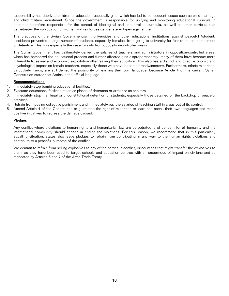responsibility has deprived children of education, especially girls, which has led to consequent issues such as child marriage and child military recruitment. Since the government is responsible for unifying and monitoring educational curricula, it becomes therefore responsible for the spread of ideological and uncontrolled curricula, as well as other curricula that perpetuates the subjugation of women and reinforces gender stereotypes against them.

The practices of the Syrian Governmentes in universities and other educational institutions against peaceful (student) dissidents prevented a large number of students, especially females, from going to university for fear of abuse, harassment or detention. This was especially the case for girls from opposition-controlled areas.

The Syrian Government has deliberately denied the salaries of teachers and administrators in opposition-controlled areas, which has hampered the educational process and further affected girls disproportionately; many of them have become more vulnerable to sexual and economic exploitation after leaving their education. This also has a distinct and direct economic and psychological impact on female teachers, especially those who have become breadwinnersteen. Furthermore, ethnic minorities, particularly Kurds, are still denied the possibility of learning their own language, because Article 4 of the current Syrian Constitution states that Arabic is the official language.

#### Recommendations:

- 1. Immediately stop bombing educational facilities.
- 2. Evacuate educational facilities taken as places of detention or arrest or as shelters.
- 3. Immediately stop the illegal or unconstitutional detention of students, especially those detained on the backdrop of peaceful activities.
- 4. Refrain from posing collective punishment and immediately pay the salaries of teaching staff in areas out of its control.
- 5. Amend Article 4 of the Constitution to guarantee the right of minorities to learn and speak their own languages and make positive initiatives to redress the damage caused.

#### Pledges

Any conflict where violations to human rights and humanitarian law are perpetrated is of concern for all humanity and the international community should engage in ending the violations. For this reason, we recommend that in this particularly appalling situation, states also issue pledges to refrain from contributing in any way to the human rights violations and contribute to a peaceful outcome of the conflict:

We commit to refrain from selling explosives to any of the parties in conflict, or countries that might transfer the explosives to them, as they have been used to target schools and education centres with an enourmous of impact on civilians and as mandated by Articles 6 and 7 of the Arms Trade Treaty.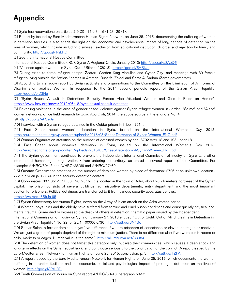# Appendix

[1] Syria has reservations on articles 2-9 (2) - 15 (4) - 16 (1-2) - 29 (1).

[2] Report by issued by Euro-Mediterranean Human Rights Network on June 25, 2015, documenting the suffering of women in detention facilities. It also sheds the light on the economic and psycho-social impact of long periods of detention on the lives of women, which include including dismissal, exclusion from educational institution, divorce, and rejection by family and community. http://goo.gl/lPzLRD

[3] See the International Rescue Committee:

International Rescue Committee (IRC), Syria: A Regional Crisis, January 2013: http://goo.gl/a8AoD5

[4] "Violence against women in Syria: Out of Silence" (2013): https://goo.gl/5HRIUe

[5] During visits to three refugee camps, Zaatari, Garden King Abdullah and Cyber City, and meetings with 80 female refugees living outside the "official" camps in Amman, Rusaifa, Zaleel and Sama Al Sarhan (Zarqa governorate).

[6] According to a shadow report by Syrian activists and organizations to the Committee on the Elimination of All Forms of Discrimination against Women, in response to the 2014 second periodic report of the Syrian Arab Republic: http://goo.gl/vlD3Ng

[7] "Syria: Sexual Assault in Detention: Security Forces Also Attacked Women and Girls in Raids on Homes": https://www.hrw.org/news/2012/06/15/syria-sexual-assault-detention

[8] Revealing violations in the area of gender-based violence against Syrian refugee women in Jordan, "Salma" and "Aisha" women networks, office field research by Suad Abu Diah, 2014; the above source in the endnote No. 4.

[9] http://goo.gl/eFSe0a

[10] Interview with a Syrian refugee detained in the Qubba prison in Tripoli, 2014.

[11] Fact Sheet about women's detention in Syria, issued on the International Women's Day 2015. http://euromedrights.org/wp-content/uploads/2015/03/Sheet-Detention-of-Syrian-Women\_ENG.pdf

[12] Ornamo Organization statistics on the number of detained women by age: 3702 over 18 and 193 under 18.

[13] Fact Sheet about women's detention in Syria, issued on the International Women's Day 2015. http://euromedrights.org/wp-content/uploads/2015/03/Sheet-Detention-of-Syrian-Women\_ENG.pdf.

[14] The Syrian government continues to prevent the Independent International Commission of Inquiry on Syria (and other international human rights organizations) from entering its territory, as stated in several reports of the Committee. For example: A/HRC/30/48 and A/HRC/28/69 and A/HRC/27/60

[15] Ornamo Organization statistics on the number of detained women by place of detention: 2726 at an unknown location - 772 in civilian jails - 374 in the security detention centers.

[16] Coordinates: 33 ° 35' 27 " E 36 ° 26' 25" N. It is located in the town of Adra, about 20 kilometers northeast of the Syrian capital. The prison consists of several buildings, administrative departments, entry department and the most important section for prisoners. Political detainees are transferred to it from various security apparatus centres.

## https://wp.me/p6BhJg-95

[17] Syrian Observatory for Human Rights, news on the Army of Islam attack on the Adra women prison.

[18] Women, boys, girls and the elderly have suffered from torture and cruel prison conditions and consequently physical and mental trauma. Some died or witnessed the death of others in detention, thematic paper issued by the Independent

International Commission of Inquiry on Syria on January 27, 2016 entitled "Out of Sight, Out of Mind: Deaths in Detention in the Syrian Arab Republic" No. 22, p. GE.14-00000 6/30. http://cutt.us/3N4Bo

[19] Samar Saleh, a former detainee, says: "No difference if we are prisoners of conscience or slaves, hostages or captives. We are just a group of people deprived of the right to minimum justice. There is no difference also if we were put in rooms or cells, markets or cages. Human value is the same". http://aljumhuriya.net/33984

[20] The detention of women does not target this category only, but also their communities, which causes a deep shock and long-term effects on the Syrian social fabric and contribute seriously to the continuation of the conflict. A report issued by the Euro-Mediterranean Network for Human Rights on June 23, 2015, conclusion, p. 5. http://cutt.us/TZFA

[21] A report issued by the Euro-Mediterranean Network for Human Rights on June 25, 2015, which documents the women suffering in detention facilities and the economic, social and psychological impact of prolonged detention on the lives of women. http://goo.gl/lPzLRD

[22] Tenth Commission of Inquiry on Syria report A/HRC/30/48, paragraph 50-53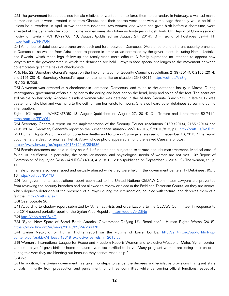[23] The government forces detained female relatives of wanted men to force them to surrender. In February, a wanted man's mother and sister were arrested in eastern Ghouta, and their photos were sent with a message that they would be killed unless he surrenders. In April, in two separate incidents, two women, one whom had given birth before a short time, were arrested at the Jerjaniah checkpoint. Some women were also taken as hostages in Hosh Arab. 8th Report of Commission of Inquiry on Syria - A/HRC/27/60, 13, August (published on August 27, 2014), B - Taking of hostages 39-44 11. http://cutt.us/PPVQN

[24] A number of detainees were transferred back and forth between Damascus (Adra prison) and different security branches in Damascus, as well as from Adra prison to prisons in other areas controlled by the government, including Hama, Lattakia and Sweida, which made legal follow-up and family visits more difficult. A family expressed its intention to appoint new lawyers from the governorates in which the detainees are held. Lawyers face special challenges to the movement between governorates given the risks at checkpoints.

P. 5, No. 22, Secretary General's report on the implementation of Security Council's resolutions 2139 (2014), 0.2165 (2014) and 2191 (2014); Secretary General's report on the humanitarian situation 23/3/2015, http://cutt.us/VE8kj, S / 2015/206.

[25] A woman was arrested at a checkpoint in Jaramana, Damascus, and taken to the detention facility in Mazza. During interrogation, government officials hung her to the ceiling and beat her on the head, body and soles of the feet. The scars are still visible on her body. Another dissident woman who was detained in the Military Security Branch 235 in late 2012 was beaten until she bled and was hung to the ceiling from her wrists for hours. She also heard other detainees screaming during interrogation.

Eighth IICI report - A/HRC/27/60 13, August (published on August 27, 2014) D - Torture and ill-treatment 52-7414. http://cutt.us/PPVQN

[26] Secretary General's report on the implementation of the Security Council resolutions 2139 (2014), 2165 (2014) and 2191 (2014); Secretary General's report on the humanitarian situation, 22/10/2015, S/2015/813, p 6. http://cutt.us/h2JDY [27] Human Rights Watch report on collective deaths and torture in Syrian jails released on December 16, 2015 / the report documents the death of engineer Rehab Allawi whose photo appeared among the leaked Caesar's photos.

https://www.hrw.org/ar/report/2015/12/16/284536

[28] Female detainees are held in dirty cells full of insects and subjected to torture and inhuman treatment. Medical care, if found, is insufficient. In particular, the particular medical and physiological needs of women are not met. 10<sup>th</sup> Report of Commission of Inquiry on Syria - (A/HRC/30/48), August 13, 2015 (published on September 3, 2015), C- The women, 52, p. 11.

Female prisoners also were raped and sexually abused while they were held in the government centers, F- Detainees, 95, p 16. http://cutt.us/iO1YD

[29] Non-governmental associations report submitted to the United Nations CEDAW Committee: Lawyers are prevented from reviewing the security branches and not allowed to review or plead in the Field and Terrorism Courts, as they are secret, which deprives detainees of the presence of a lawyer during the interrogation, coupled with torture, and deprives them of a fair trial. http://cutt.us/ie7r

[30] See footnote 20.

[31] According to shadow report submitted by Syrian activists and organizations to the CEDAW Committee, in response to the 2014 second periodic report of the Syrian Arab Republic: http://goo.gl/vlD3Ng

[32] http://goo.gl/p9BxeG

[33] "Syria: New Spate of Barrel Bomb Attacks. Government Defying UN Resolution" - Human Rights Watch (2015): https://www.hrw.org/ar/news/2015/02/24/266970

[34] Syrian Network for Human Rights report on the victims of barrel bombs: http://sn4hr.org/public\_html/wpcontent/pdf/arabic/At\_least\_17318\_explosive\_barrels\_in\_2015.pdf

[35] Women's International League for Peace and Freedom Report: Women and Explosive Weapons: Maha, Syrian border, Lebanon, says: "I gave birth at home because I was too terrified to leave. Many pregnant women are losing their children during this war; they are bleeding out because they cannot reach help." [36] ibid

[37] In addition, the Syrian government has taken no steps to cancel the decrees and legislative provisions that grant state officials immunity from prosecution and punishment for crimes committed while performing official functions, especially